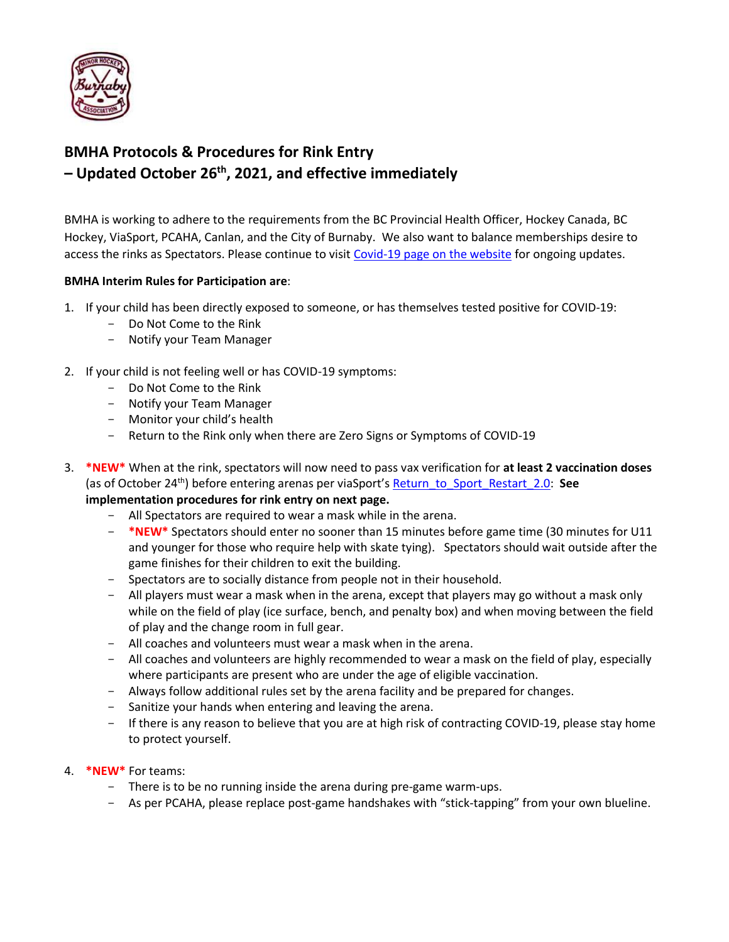

# **BMHA Protocols & Procedures for Rink Entry – Updated October 26th , 2021, and effective immediately**

BMHA is working to adhere to the requirements from the BC Provincial Health Officer, Hockey Canada, BC Hockey, ViaSport, PCAHA, Canlan, and the City of Burnaby. We also want to balance memberships desire to access the rinks as Spectators. Please continue to visit [Covid-19 page on the website](https://www.burnabyminor.com/covid-19-2021-22-season/) for ongoing updates.

#### **BMHA Interim Rules for Participation are**:

- 1. If your child has been directly exposed to someone, or has themselves tested positive for COVID-19:
	- Do Not Come to the Rink
	- Notify your Team Manager
- 2. If your child is not feeling well or has COVID-19 symptoms:
	- Do Not Come to the Rink
	- Notify your Team Manager
	- Monitor your child's health
	- Return to the Rink only when there are Zero Signs or Symptoms of COVID-19
- 3. **\*NEW\*** When at the rink, spectators will now need to pass vax verification for **at least 2 vaccination doses** (as of October 24th) before entering arenas per viaSport's [Return\\_to\\_Sport\\_Restart\\_2.0:](https://www.viasport.ca/return-sport) **See implementation procedures for rink entry on next page.**
	- All Spectators are required to wear a mask while in the arena.
	- **\*NEW\*** Spectators should enter no sooner than 15 minutes before game time (30 minutes for U11 and younger for those who require help with skate tying). Spectators should wait outside after the game finishes for their children to exit the building.
	- Spectators are to socially distance from people not in their household.
	- All players must wear a mask when in the arena, except that players may go without a mask only while on the field of play (ice surface, bench, and penalty box) and when moving between the field of play and the change room in full gear.
	- All coaches and volunteers must wear a mask when in the arena.
	- All coaches and volunteers are highly recommended to wear a mask on the field of play, especially where participants are present who are under the age of eligible vaccination.
	- Always follow additional rules set by the arena facility and be prepared for changes.
	- Sanitize your hands when entering and leaving the arena.
	- If there is any reason to believe that you are at high risk of contracting COVID-19, please stay home to protect yourself.
- 4. **\*NEW\*** For teams:
	- There is to be no running inside the arena during pre-game warm-ups.
	- As per PCAHA, please replace post-game handshakes with "stick-tapping" from your own blueline.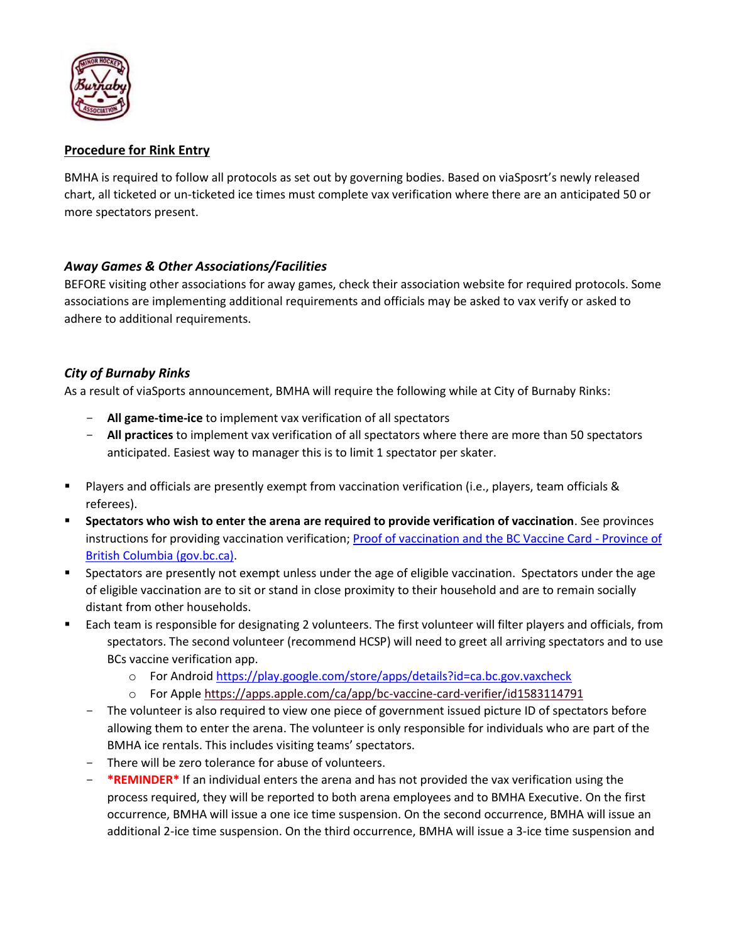

## **Procedure for Rink Entry**

BMHA is required to follow all protocols as set out by governing bodies. Based on viaSposrt's newly released chart, all ticketed or un-ticketed ice times must complete vax verification where there are an anticipated 50 or more spectators present.

### *Away Games & Other Associations/Facilities*

BEFORE visiting other associations for away games, check their association website for required protocols. Some associations are implementing additional requirements and officials may be asked to vax verify or asked to adhere to additional requirements.

### *City of Burnaby Rinks*

As a result of viaSports announcement, BMHA will require the following while at City of Burnaby Rinks:

- **All game-time-ice** to implement vax verification of all spectators
- **All practices** to implement vax verification of all spectators where there are more than 50 spectators anticipated. Easiest way to manager this is to limit 1 spectator per skater.
- Players and officials are presently exempt from vaccination verification (i.e., players, team officials & referees).
- **Spectators who wish to enter the arena are required to provide verification of vaccination**. See provinces instructions for providing vaccination verification[; Proof of vaccination and the BC Vaccine Card -](https://www2.gov.bc.ca/vaccinecard.html) Province of [British Columbia \(gov.bc.ca\).](https://www2.gov.bc.ca/vaccinecard.html)
- **EXEDENT Spectators are presently not exempt unless under the age of eligible vaccination. Spectators under the age** of eligible vaccination are to sit or stand in close proximity to their household and are to remain socially distant from other households.
- Each team is responsible for designating 2 volunteers. The first volunteer will filter players and officials, from spectators. The second volunteer (recommend HCSP) will need to greet all arriving spectators and to use BCs vaccine verification app.
	- o For Androi[d https://play.google.com/store/apps/details?id=ca.bc.gov.vaxcheck](https://play.google.com/store/apps/details?id=ca.bc.gov.vaxcheck)
	- o For Appl[e https://apps.apple.com/ca/app/bc-vaccine-card-verifier/id1583114791](https://apps.apple.com/ca/app/bc-vaccine-card-verifier/id1583114791)
	- The volunteer is also required to view one piece of government issued picture ID of spectators before allowing them to enter the arena. The volunteer is only responsible for individuals who are part of the BMHA ice rentals. This includes visiting teams' spectators.
	- There will be zero tolerance for abuse of volunteers.
	- **\*REMINDER\*** If an individual enters the arena and has not provided the vax verification using the process required, they will be reported to both arena employees and to BMHA Executive. On the first occurrence, BMHA will issue a one ice time suspension. On the second occurrence, BMHA will issue an additional 2-ice time suspension. On the third occurrence, BMHA will issue a 3-ice time suspension and